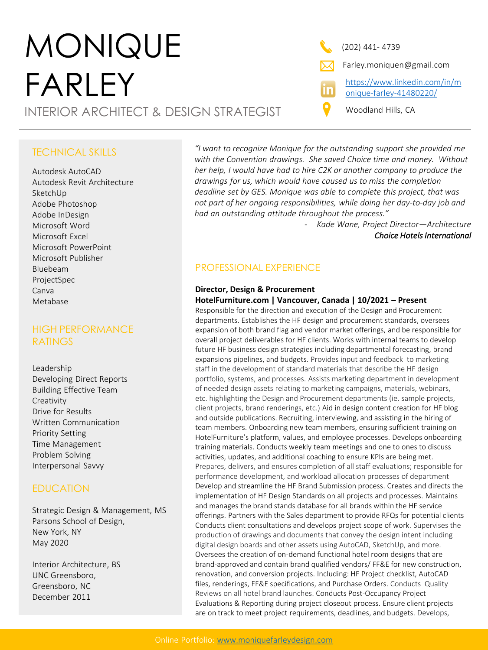# MONIQUE FARLEY INTERIOR ARCHITECT & DESIGN STRATEGIST Woodland Hills, CA

(202) 441- 4739

Farley.moniquen@gmail.com

[https://www.linkedin.com/in/m](https://www.linkedin.com/in/monique-farley-41480220/) onique-farley-41480220/

## TECHNICAL SKILLS

Autodesk AutoCAD Autodesk Revit Architecture SketchUp Adobe Photoshop Adobe InDesign Microsoft Word Microsoft Excel Microsoft PowerPoint Microsoft Publisher Bluebeam ProjectSpec Canva Metabase

# HIGH PERFORMANCE **RATINGS**

Leadership Developing Direct Reports Building Effective Team Creativity Drive for Results Written Communication Priority Setting Time Management Problem Solving Interpersonal Savvy

# **EDUCATION**

Strategic Design & Management, MS Parsons School of Design, New York, NY May 2020

Interior Architecture, BS UNC Greensboro, Greensboro, NC December 2011

*"I want to recognize Monique for the outstanding support she provided me with the Convention drawings. She saved Choice time and money. Without her help, I would have had to hire C2K or another company to produce the drawings for us, which would have caused us to miss the completion deadline set by GES. Monique was able to complete this project, that was not part of her ongoing responsibilities, while doing her day-to-day job and had an outstanding attitude throughout the process."* 

> - *Kade Wane, Project Director—Architecture Choice Hotels International*

# PROFESSIONAL EXPERIENCE

### **Director, Design & Procurement**

### **HotelFurniture.com | Vancouver, Canada | 10/2021 – Present**

Responsible for the direction and execution of the Design and Procurement departments. Establishes the HF design and procurement standards, oversees expansion of both brand flag and vendor market offerings, and be responsible for overall project deliverables for HF clients. Works with internal teams to develop future HF business design strategies including departmental forecasting, brand expansions pipelines, and budgets. Provides input and feedback to marketing staff in the development of standard materials that describe the HF design portfolio, systems, and processes. Assists marketing department in development of needed design assets relating to marketing campaigns, materials, webinars, etc. highlighting the Design and Procurement departments (ie. sample projects, client projects, brand renderings, etc.) Aid in design content creation for HF blog and outside publications. Recruiting, interviewing, and assisting in the hiring of team members. Onboarding new team members, ensuring sufficient training on HotelFurniture's platform, values, and employee processes. Develops onboarding training materials. Conducts weekly team meetings and one to ones to discuss activities, updates, and additional coaching to ensure KPIs are being met. Prepares, delivers, and ensures completion of all staff evaluations; responsible for performance development, and workload allocation processes of department Develop and streamline the HF Brand Submission process. Creates and directs the implementation of HF Design Standards on all projects and processes. Maintains and manages the brand stands database for all brands within the HF service offerings. Partners with the Sales department to provide RFQs for potential clients Conducts client consultations and develops project scope of work. Supervises the production of drawings and documents that convey the design intent including digital design boards and other assets using AutoCAD, SketchUp, and more. Oversees the creation of on-demand functional hotel room designs that are brand-approved and contain brand qualified vendors/ FF&E for new construction, renovation, and conversion projects. Including: HF Project checklist, AutoCAD files, renderings, FF&E specifications, and Purchase Orders. Conducts Quality Reviews on all hotel brand launches. Conducts Post-Occupancy Project Evaluations & Reporting during project closeout process. Ensure client projects are on track to meet project requirements, deadlines, and budgets. Develops,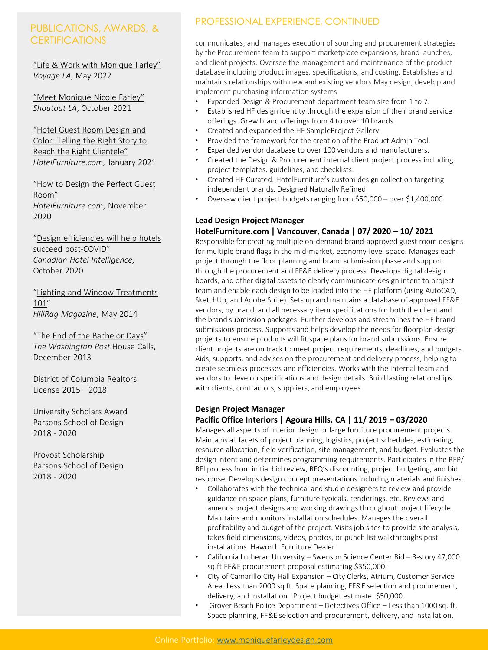# PUBLICATIONS, AWARDS, & **CERTIFICATIONS**

"Life & Work with Monique Farley" *Voyage LA*, May 2022

"Meet Monique Nicole Farley" *Shoutout LA*, October 2021

"Hotel Guest Room Design and Color: Telling the Right Story to Reach the Right Clientele" *HotelFurniture.com,* January 2021

"How to Design the Perfect Guest Room" *HotelFurniture.com*, November 2020

"Design efficiencies will help hotels succeed post-COVID" *Canadian Hotel Intelligence,*  October 2020

"Lighting and Window Treatments 101" *HillRag Magazine*, May 2014

"The End of the Bachelor Days" *The Washington Post* House Calls, December 2013

District of Columbia Realtors License 2015—2018

University Scholars Award Parsons School of Design 2018 - 2020

Provost Scholarship Parsons School of Design 2018 - 2020

# PROFESSIONAL EXPERIENCE, CONTINUED

communicates, and manages execution of sourcing and procurement strategies by the Procurement team to support marketplace expansions, brand launches, and client projects. Oversee the management and maintenance of the product database including product images, specifications, and costing. Establishes and maintains relationships with new and existing vendors May design, develop and implement purchasing information systems

- Expanded Design & Procurement department team size from 1 to 7.
- Established HF design identity through the expansion of their brand service offerings. Grew brand offerings from 4 to over 10 brands.
- Created and expanded the HF SampleProject Gallery.
- Provided the framework for the creation of the Product Admin Tool.
- Expanded vendor database to over 100 vendors and manufacturers.
- Created the Design & Procurement internal client project process including project templates, guidelines, and checklists.
- Created HF Curated. HotelFurniture's custom design collection targeting independent brands. Designed Naturally Refined.
- Oversaw client project budgets ranging from \$50,000 over \$1,400,000.

#### **Lead Design Project Manager**

#### **HotelFurniture.com | Vancouver, Canada | 07/ 2020 – 10/ 2021**

Responsible for creating multiple on-demand brand-approved guest room designs for multiple brand flags in the mid-market, economy-level space. Manages each project through the floor planning and brand submission phase and support through the procurement and FF&E delivery process. Develops digital design boards, and other digital assets to clearly communicate design intent to project team and enable each design to be loaded into the HF platform (using AutoCAD, SketchUp, and Adobe Suite). Sets up and maintains a database of approved FF&E vendors, by brand, and all necessary item specifications for both the client and the brand submission packages. Further develops and streamlines the HF brand submissions process. Supports and helps develop the needs for floorplan design projects to ensure products will fit space plans for brand submissions. Ensure client projects are on track to meet project requirements, deadlines, and budgets. Aids, supports, and advises on the procurement and delivery process, helping to create seamless processes and efficiencies. Works with the internal team and vendors to develop specifications and design details. Build lasting relationships with clients, contractors, suppliers, and employees.

#### **Design Project Manager**

#### **Pacific Office Interiors | Agoura Hills, CA | 11/ 2019 – 03/2020**

Manages all aspects of interior design or large furniture procurement projects. Maintains all facets of project planning, logistics, project schedules, estimating, resource allocation, field verification, site management, and budget. Evaluates the design intent and determines programming requirements. Participates in the RFP/ RFI process from initial bid review, RFQ's discounting, project budgeting, and bid response. Develops design concept presentations including materials and finishes.

- Collaborates with the technical and studio designers to review and provide guidance on space plans, furniture typicals, renderings, etc. Reviews and amends project designs and working drawings throughout project lifecycle. Maintains and monitors installation schedules. Manages the overall profitability and budget of the project. Visits job sites to provide site analysis, takes field dimensions, videos, photos, or punch list walkthroughs post installations. Haworth Furniture Dealer
- California Lutheran University Swenson Science Center Bid 3-story 47,000 sq.ft FF&E procurement proposal estimating \$350,000.
- City of Camarillo City Hall Expansion City Clerks, Atrium, Customer Service Area. Less than 2000 sq.ft. Space planning, FF&E selection and procurement, delivery, and installation. Project budget estimate: \$50,000.
- Grover Beach Police Department Detectives Office Less than 1000 sq. ft. Space planning, FF&E selection and procurement, delivery, and installation.